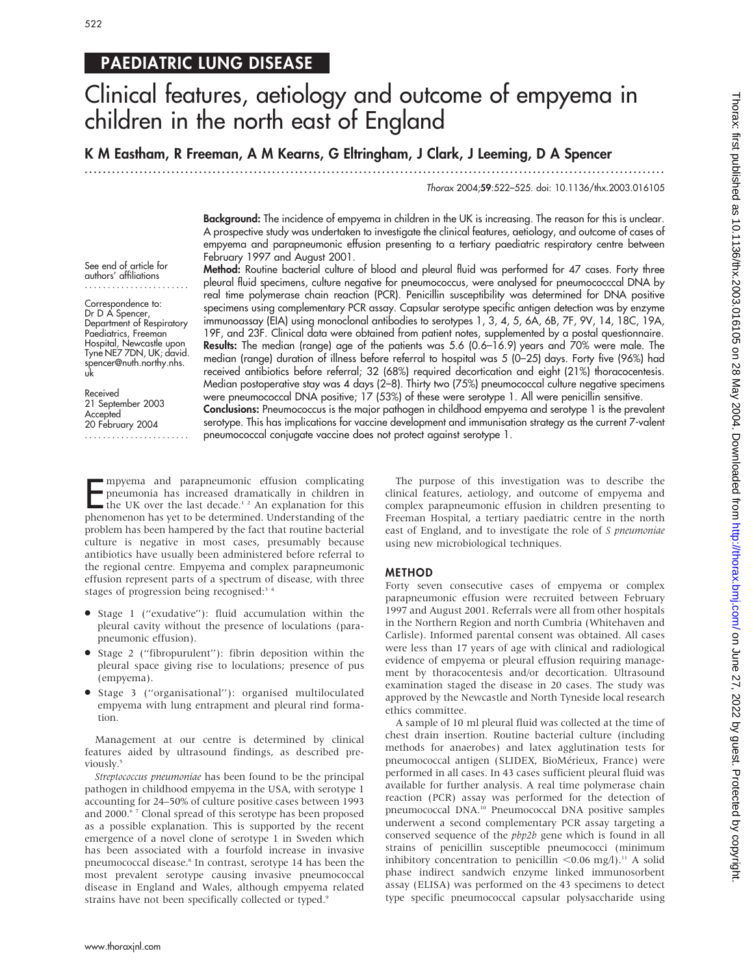## PAEDIATRIC LUNG DISEASE

# Clinical features, aetiology and outcome of empyema in children in the north east of England

K M Eastham, R Freeman, A M Kearns, G Eltringham, J Clark, J Leeming, D A Spencer

...............................................................................................................................

Thorax 2004;59:522–525. doi: 10.1136/thx.2003.016105

Background: The incidence of empyema in children in the UK is increasing. The reason for this is unclear. A prospective study was undertaken to investigate the clinical features, aetiology, and outcome of cases of empyema and parapneumonic effusion presenting to a tertiary paediatric respiratory centre between February 1997 and August 2001.

See end of article for authors' affiliations .......................

Correspondence to: Dr D A Spencer, Department of Respiratory Paediatrics, Freeman Hospital, Newcastle upon Tyne NE7 7DN, UK; david. spencer@nuth.northy.nhs. uk

Received 21 September 2003 **Accepted** 20 February 2004

.......................

Method: Routine bacterial culture of blood and pleural fluid was performed for 47 cases. Forty three pleural fluid specimens, culture negative for pneumococcus, were analysed for pneumococccal DNA by real time polymerase chain reaction (PCR). Penicillin susceptibility was determined for DNA positive specimens using complementary PCR assay. Capsular serotype specific antigen detection was by enzyme immunoassay (EIA) using monoclonal antibodies to serotypes 1, 3, 4, 5, 6A, 6B, 7F, 9V, 14, 18C, 19A, 19F, and 23F. Clinical data were obtained from patient notes, supplemented by a postal questionnaire. Results: The median (range) age of the patients was 5.6 (0.6–16.9) years and 70% were male. The median (range) duration of illness before referral to hospital was 5 (0–25) days. Forty five (96%) had received antibiotics before referral; 32 (68%) required decortication and eight (21%) thoracocentesis. Median postoperative stay was 4 days (2–8). Thirty two (75%) pneumococcal culture negative specimens were pneumococcal DNA positive; 17 (53%) of these were serotype 1. All were penicillin sensitive. Conclusions: Pneumococcus is the major pathogen in childhood empyema and serotype 1 is the prevalent serotype. This has implications for vaccine development and immunisation strategy as the current 7-valent pneumococcal conjugate vaccine does not protect against serotype 1.

Empyema and parapneumonic effusion complicating<br>pheumonia has increased dramatically in children in<br>the UK over the last decade.<sup>12</sup> An explanation for this<br>phenomenon has yet to be determined. Understanding of the mpyema and parapneumonic effusion complicating pneumonia has increased dramatically in children in the UK over the last decade.<sup>12</sup> An explanation for this problem has been hampered by the fact that routine bacterial culture is negative in most cases, presumably because antibiotics have usually been administered before referral to the regional centre. Empyema and complex parapneumonic effusion represent parts of a spectrum of disease, with three stages of progression being recognised:<sup>34</sup>

- Stage 1 ("exudative"): fluid accumulation within the pleural cavity without the presence of loculations (parapneumonic effusion).
- $\bullet$  Stage 2 ("fibropurulent"): fibrin deposition within the pleural space giving rise to loculations; presence of pus (empyema).
- N Stage 3 (''organisational''): organised multiloculated empyema with lung entrapment and pleural rind formation.

Management at our centre is determined by clinical features aided by ultrasound findings, as described previously.<sup>5</sup>

Streptococcus pneumoniae has been found to be the principal pathogen in childhood empyema in the USA, with serotype 1 accounting for 24–50% of culture positive cases between 1993 and 2000.<sup>67</sup> Clonal spread of this serotype has been proposed as a possible explanation. This is supported by the recent emergence of a novel clone of serotype 1 in Sweden which has been associated with a fourfold increase in invasive pneumococcal disease.<sup>8</sup> In contrast, serotype 14 has been the most prevalent serotype causing invasive pneumococcal disease in England and Wales, although empyema related strains have not been specifically collected or typed.<sup>9</sup>

The purpose of this investigation was to describe the clinical features, aetiology, and outcome of empyema and complex parapneumonic effusion in children presenting to Freeman Hospital, a tertiary paediatric centre in the north east of England, and to investigate the role of S pneumoniae using new microbiological techniques.

#### METHOD

Forty seven consecutive cases of empyema or complex parapneumonic effusion were recruited between February 1997 and August 2001. Referrals were all from other hospitals in the Northern Region and north Cumbria (Whitehaven and Carlisle). Informed parental consent was obtained. All cases were less than 17 years of age with clinical and radiological evidence of empyema or pleural effusion requiring management by thoracocentesis and/or decortication. Ultrasound examination staged the disease in 20 cases. The study was approved by the Newcastle and North Tyneside local research ethics committee.

A sample of 10 ml pleural fluid was collected at the time of chest drain insertion. Routine bacterial culture (including methods for anaerobes) and latex agglutination tests for pneumococcal antigen (SLIDEX, BioMérieux, France) were performed in all cases. In 43 cases sufficient pleural fluid was available for further analysis. A real time polymerase chain reaction (PCR) assay was performed for the detection of pneumococcal DNA.10 Pneumococcal DNA positive samples underwent a second complementary PCR assay targeting a conserved sequence of the pbp2b gene which is found in all strains of penicillin susceptible pneumococci (minimum inhibitory concentration to penicillin  $<$ 0.06 mg/l).<sup>11</sup> A solid phase indirect sandwich enzyme linked immunosorbent assay (ELISA) was performed on the 43 specimens to detect type specific pneumococcal capsular polysaccharide using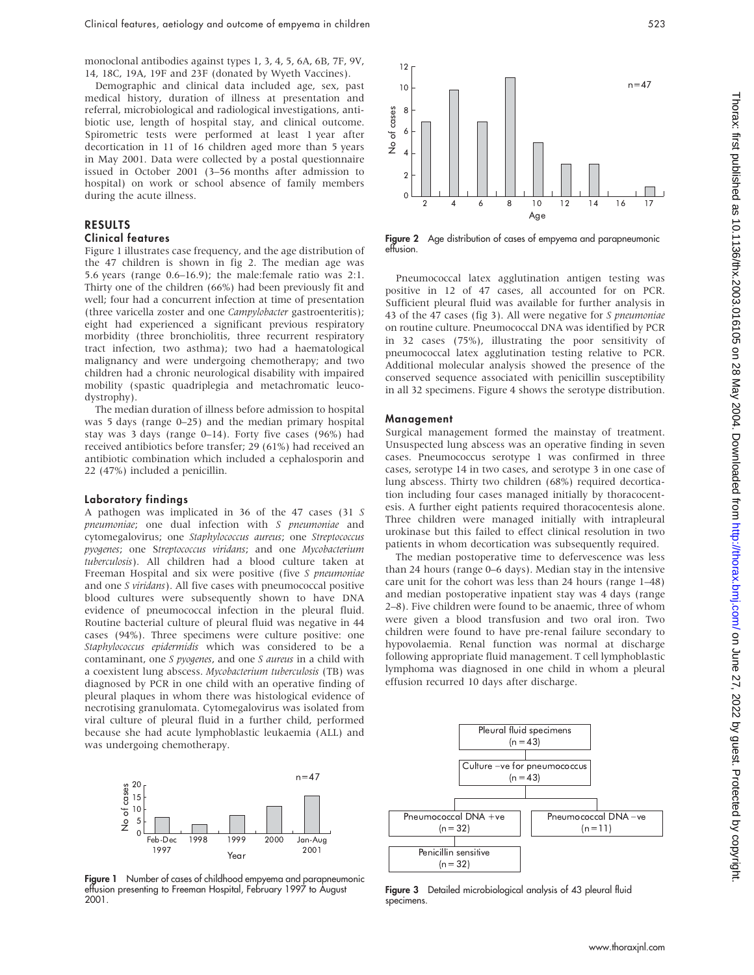monoclonal antibodies against types 1, 3, 4, 5, 6A, 6B, 7F, 9V, 14, 18C, 19A, 19F and 23F (donated by Wyeth Vaccines).

Demographic and clinical data included age, sex, past medical history, duration of illness at presentation and referral, microbiological and radiological investigations, antibiotic use, length of hospital stay, and clinical outcome. Spirometric tests were performed at least 1 year after decortication in 11 of 16 children aged more than 5 years in May 2001. Data were collected by a postal questionnaire issued in October 2001 (3–56 months after admission to hospital) on work or school absence of family members during the acute illness.

### RESULTS

#### Clinical features

Figure 1 illustrates case frequency, and the age distribution of the 47 children is shown in fig 2. The median age was 5.6 years (range 0.6–16.9); the male:female ratio was 2:1. Thirty one of the children (66%) had been previously fit and well; four had a concurrent infection at time of presentation (three varicella zoster and one Campylobacter gastroenteritis); eight had experienced a significant previous respiratory morbidity (three bronchiolitis, three recurrent respiratory tract infection, two asthma); two had a haematological malignancy and were undergoing chemotherapy; and two children had a chronic neurological disability with impaired mobility (spastic quadriplegia and metachromatic leucodystrophy).

The median duration of illness before admission to hospital was 5 days (range 0–25) and the median primary hospital stay was 3 days (range 0–14). Forty five cases (96%) had received antibiotics before transfer; 29 (61%) had received an antibiotic combination which included a cephalosporin and 22 (47%) included a penicillin.

#### Laboratory findings

A pathogen was implicated in 36 of the 47 cases (31 S pneumoniae; one dual infection with S pneumoniae and cytomegalovirus; one Staphylococcus aureus; one Streptococcus pyogenes; one Streptococcus viridans; and one Mycobacterium tuberculosis). All children had a blood culture taken at Freeman Hospital and six were positive (five S pneumoniae and one S viridans). All five cases with pneumococcal positive blood cultures were subsequently shown to have DNA evidence of pneumococcal infection in the pleural fluid. Routine bacterial culture of pleural fluid was negative in 44 cases (94%). Three specimens were culture positive: one Staphylococcus epidermidis which was considered to be a contaminant, one S pyogenes, and one S aureus in a child with a coexistent lung abscess. Mycobacterium tuberculosis (TB) was diagnosed by PCR in one child with an operative finding of pleural plaques in whom there was histological evidence of necrotising granulomata. Cytomegalovirus was isolated from viral culture of pleural fluid in a further child, performed because she had acute lymphoblastic leukaemia (ALL) and was undergoing chemotherapy.



Figure 2 Age distribution of cases of empyema and parapneumonic effusion.

Pneumococcal latex agglutination antigen testing was positive in 12 of 47 cases, all accounted for on PCR. Sufficient pleural fluid was available for further analysis in 43 of the 47 cases (fig 3). All were negative for S pneumoniae on routine culture. Pneumococcal DNA was identified by PCR in 32 cases (75%), illustrating the poor sensitivity of pneumococcal latex agglutination testing relative to PCR. Additional molecular analysis showed the presence of the conserved sequence associated with penicillin susceptibility in all 32 specimens. Figure 4 shows the serotype distribution.

#### Management

Surgical management formed the mainstay of treatment. Unsuspected lung abscess was an operative finding in seven cases. Pneumococcus serotype 1 was confirmed in three cases, serotype 14 in two cases, and serotype 3 in one case of lung abscess. Thirty two children (68%) required decortication including four cases managed initially by thoracocentesis. A further eight patients required thoracocentesis alone. Three children were managed initially with intrapleural urokinase but this failed to effect clinical resolution in two patients in whom decortication was subsequently required.

The median postoperative time to defervescence was less than 24 hours (range 0–6 days). Median stay in the intensive care unit for the cohort was less than 24 hours (range 1–48) and median postoperative inpatient stay was 4 days (range 2–8). Five children were found to be anaemic, three of whom were given a blood transfusion and two oral iron. Two children were found to have pre-renal failure secondary to hypovolaemia. Renal function was normal at discharge following appropriate fluid management. T cell lymphoblastic lymphoma was diagnosed in one child in whom a pleural effusion recurred 10 days after discharge.



Fiaure 1 Number of cases of childhood empyema and parapneumonic effusion presenting to Freeman Hospital, February 1997 to August 2001.



Figure 3 Detailed microbiological analysis of 43 pleural fluid specimens.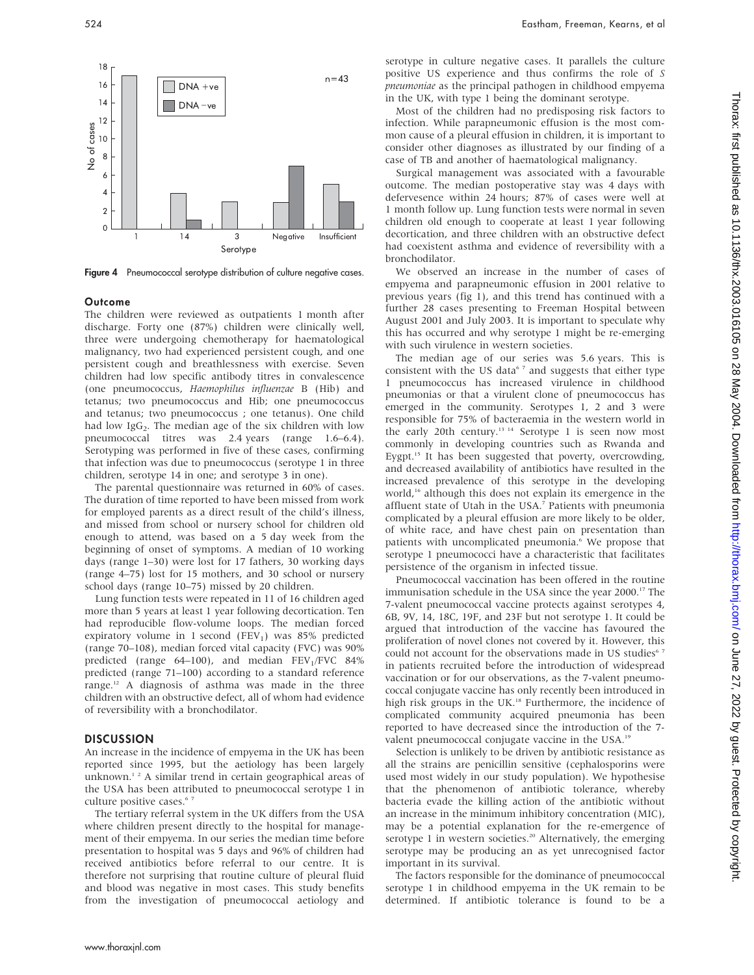

Figure 4 Pneumococcal serotype distribution of culture negative cases.

#### **Outcome**

The children were reviewed as outpatients 1 month after discharge. Forty one (87%) children were clinically well, three were undergoing chemotherapy for haematological malignancy, two had experienced persistent cough, and one persistent cough and breathlessness with exercise. Seven children had low specific antibody titres in convalescence (one pneumococcus, Haemophilus influenzae B (Hib) and tetanus; two pneumococcus and Hib; one pneumococcus and tetanus; two pneumococcus ; one tetanus). One child had low Ig $G_2$ . The median age of the six children with low pneumococcal titres was 2.4 years (range 1.6–6.4). Serotyping was performed in five of these cases, confirming that infection was due to pneumococcus (serotype 1 in three children, serotype 14 in one; and serotype 3 in one).

The parental questionnaire was returned in 60% of cases. The duration of time reported to have been missed from work for employed parents as a direct result of the child's illness, and missed from school or nursery school for children old enough to attend, was based on a 5 day week from the beginning of onset of symptoms. A median of 10 working days (range 1–30) were lost for 17 fathers, 30 working days (range 4–75) lost for 15 mothers, and 30 school or nursery school days (range 10–75) missed by 20 children.

Lung function tests were repeated in 11 of 16 children aged more than 5 years at least 1 year following decortication. Ten had reproducible flow-volume loops. The median forced expiratory volume in 1 second (FEV<sub>1</sub>) was 85% predicted (range 70–108), median forced vital capacity (FVC) was 90% predicted (range  $64-100$ ), and median FEV<sub>1</sub>/FVC  $84\%$ predicted (range 71–100) according to a standard reference range.12 A diagnosis of asthma was made in the three children with an obstructive defect, all of whom had evidence of reversibility with a bronchodilator.

#### DISCUSSION

An increase in the incidence of empyema in the UK has been reported since 1995, but the aetiology has been largely unknown.<sup>12</sup> A similar trend in certain geographical areas of the USA has been attributed to pneumococcal serotype 1 in culture positive cases.<sup>67</sup>

The tertiary referral system in the UK differs from the USA where children present directly to the hospital for management of their empyema. In our series the median time before presentation to hospital was 5 days and 96% of children had received antibiotics before referral to our centre. It is therefore not surprising that routine culture of pleural fluid and blood was negative in most cases. This study benefits from the investigation of pneumococcal aetiology and serotype in culture negative cases. It parallels the culture positive US experience and thus confirms the role of S pneumoniae as the principal pathogen in childhood empyema in the UK, with type 1 being the dominant serotype.

Most of the children had no predisposing risk factors to infection. While parapneumonic effusion is the most common cause of a pleural effusion in children, it is important to consider other diagnoses as illustrated by our finding of a case of TB and another of haematological malignancy.

Surgical management was associated with a favourable outcome. The median postoperative stay was 4 days with defervesence within 24 hours; 87% of cases were well at 1 month follow up. Lung function tests were normal in seven children old enough to cooperate at least 1 year following decortication, and three children with an obstructive defect had coexistent asthma and evidence of reversibility with a bronchodilator.

We observed an increase in the number of cases of empyema and parapneumonic effusion in 2001 relative to previous years (fig 1), and this trend has continued with a further 28 cases presenting to Freeman Hospital between August 2001 and July 2003. It is important to speculate why this has occurred and why serotype 1 might be re-emerging with such virulence in western societies.

The median age of our series was 5.6 years. This is consistent with the US data $67$  and suggests that either type 1 pneumococcus has increased virulence in childhood pneumonias or that a virulent clone of pneumococcus has emerged in the community. Serotypes 1, 2 and 3 were responsible for 75% of bacteraemia in the western world in the early 20th century.<sup>13 14</sup> Serotype 1 is seen now most commonly in developing countries such as Rwanda and Eygpt.15 It has been suggested that poverty, overcrowding, and decreased availability of antibiotics have resulted in the increased prevalence of this serotype in the developing world,<sup>16</sup> although this does not explain its emergence in the affluent state of Utah in the USA.7 Patients with pneumonia complicated by a pleural effusion are more likely to be older, of white race, and have chest pain on presentation than patients with uncomplicated pneumonia.<sup>6</sup> We propose that serotype 1 pneumococci have a characteristic that facilitates persistence of the organism in infected tissue.

Pneumococcal vaccination has been offered in the routine immunisation schedule in the USA since the year 2000.<sup>17</sup> The 7-valent pneumococcal vaccine protects against serotypes 4, 6B, 9V, 14, 18C, 19F, and 23F but not serotype 1. It could be argued that introduction of the vaccine has favoured the proliferation of novel clones not covered by it. However, this could not account for the observations made in US studies<sup>67</sup> in patients recruited before the introduction of widespread vaccination or for our observations, as the 7-valent pneumococcal conjugate vaccine has only recently been introduced in high risk groups in the UK.<sup>18</sup> Furthermore, the incidence of complicated community acquired pneumonia has been reported to have decreased since the introduction of the 7 valent pneumococcal conjugate vaccine in the USA.<sup>19</sup>

Selection is unlikely to be driven by antibiotic resistance as all the strains are penicillin sensitive (cephalosporins were used most widely in our study population). We hypothesise that the phenomenon of antibiotic tolerance, whereby bacteria evade the killing action of the antibiotic without an increase in the minimum inhibitory concentration (MIC), may be a potential explanation for the re-emergence of serotype 1 in western societies.<sup>20</sup> Alternatively, the emerging serotype may be producing an as yet unrecognised factor important in its survival.

The factors responsible for the dominance of pneumococcal serotype 1 in childhood empyema in the UK remain to be determined. If antibiotic tolerance is found to be a